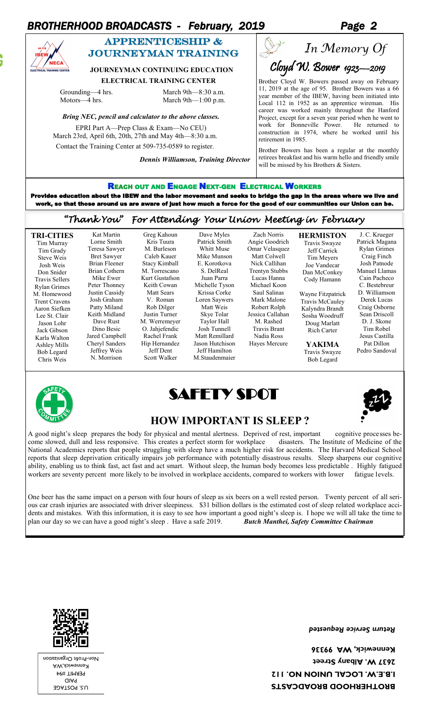## *BROTHERHOOD BROADCASTS - February, 2019 Page 2*



## APPRENTICESHIP & journeyman training

### **JOURNEYMAN CONTINUING EDUCATION**

 **ELECTRICAL TRAINING CENTER**

Greg Kahoun Kris Tuura M. Burleson Caleb Kauer Stacy Kimball M. Torrescano Kurt Gustafson Keith Cowan Matt Sears V. Roman Rob Dilger Justin Turner M. Werremeyer O. Jahjefendic Rachel Frank Hip Hernandez Jeff Dent Scott Walker

Grounding—4 hrs. March 9th—8:30 a.m. Motors—4 hrs. March 9th—1:00 p.m.

> Kat Martin Lorne Smith Teresa Sawyer Bret Sawyer Brian Fleener Brian Cothern Mike Ewer Peter Thonney Justin Cassidy Josh Graham Patty Miland Keith Midland Dave Rust Dino Besic Jared Campbell Cheryl Sanders Jeffrey Weis N. Morrison

#### *Bring NEC, pencil and calculator to the above classes.*

EPRI Part A—Prep Class & Exam—No CEU) March 23rd, April 6th, 20th, 27th and May 4th—8:30 a.m. Contact the Training Center at 509-735-0589 to register.

*Dennis Williamson, Training Director*

# Var *In Memory Of*Cloyd W. Bower 1923-2019

Brother Cloyd W. Bowers passed away on February 11, 2019 at the age of 95. Brother Bowers was a 66 year member of the IBEW, having been initiated into Local 112 in 1952 as an apprentice wireman. His career was worked mainly throughout the Hanford Project, except for a seven year period when he went to work for Bonneville Power. He returned to construction in 1974, where he worked until his retirement in 1985.

Brother Bowers has been a regular at the monthly retirees breakfast and his warm hello and friendly smile will be missed by his Brothers & Sisters.

### REACH OUT AND ENGAGE NEXT-GEN ELECTRICAL WORKERS

Provides education about the IBEW and the labor movement and seeks to bridge the gap in the areas where we live and work, so that those around us are aware of just how much a force for the good of our communities our Union can be.

### *"Thank You" For Attending Your Union Meeting in February*

Dave Myles Patrick Smith Whitt Muse Mike Munson E. Korotkova S. DelReal Juan Parra Michelle Tyson Krissa Corke Loren Saywers Matt Weis Skye Tolar Taylor Hall Josh Tunnell Matt Remillard Jason Hutchison Jeff Hamilton M.Staudenmaier

**TRI-CITIES** Tim Murray Tim Grady Steve Weis Josh Weis Don Snider Travis Sellers Rylan Grimes M. Homewood Trent Cravens Aaron Siefken Lee St. Clair Jason Lohr Jack Gibson Karla Walton Ashley Mills Bob Legard Chris Weis





Angie Goodrich Omar Velasquez Matt Colwell Nick Callihan Trentyn Stubbs Lucas Hanna Michael Koon Saul Salinas Mark Malone Robert Rolph Jessica Callahan M. Rashed Travis Brant Nadia Ross Hayes Mercure

Zach Norris

Travis Swayze Jeff Carrick Tim Meyers Joe Vandecar Dan McConkey Cody Hamann Wayne Fitzpatrick

**HERMISTON**

Travis McCauley Kalyndra Brandt Sosha Woodruff Doug Marlatt Rich Carter

**YAKIMA** Travis Swayze Bob Legard

Patrick Magana Rylan Grimes Craig Finch Josh Patnode Manuel Llamas Cain Pacheco C. Bestebreur D. Williamson Derek Lucas Craig Osborne Sean Driscoll D. J. Skone Tim Robel Jesus Castilla Pat Dillon Pedro Sandoval

J. C. Krueger

# **HOW IMPORTANT IS SLEEP?**

A good night's sleep prepares the body for physical and mental alertness. Deprived of rest, important cognitive processes become slowed, dull and less responsive. This creates a perfect storm for workplace disasters. The Institute of Medicine of the National Academics reports that people struggling with sleep have a much higher risk for accidents. The Harvard Medical School reports that sleep deprivation critically impairs job performance with potentially disastrous results. Sleep sharpens our cognitive ability, enabling us to think fast, act fast and act smart. Without sleep, the human body becomes less predictable . Highly fatigued workers are seventy percent more likely to be involved in workplace accidents, compared to workers with lower fatigue levels.

One beer has the same impact on a person with four hours of sleep as six beers on a well rested person. Twenty percent of all serious car crash injuries are associated with driver sleepiness. \$31 billion dollars is the estimated cost of sleep related workplace accidents and mistakes. With this information, it is easy to see how important a good night's sleep is. I hope we will all take the time to plan our day so we can have a good night's sleep . Have a safe 2019. *Butch Manthei, Safety Committee Chairman* 



U.S. POSTAGE PAID PERMIT #94 Kennewick,WA Non-Profit Organization *Return Service Requested* 

**BROTHERHOOD BROADCASTS I.B.E.W. LOCAL UNION NO. 112 2637 W. Albany Street Kennewick, WA 99336**